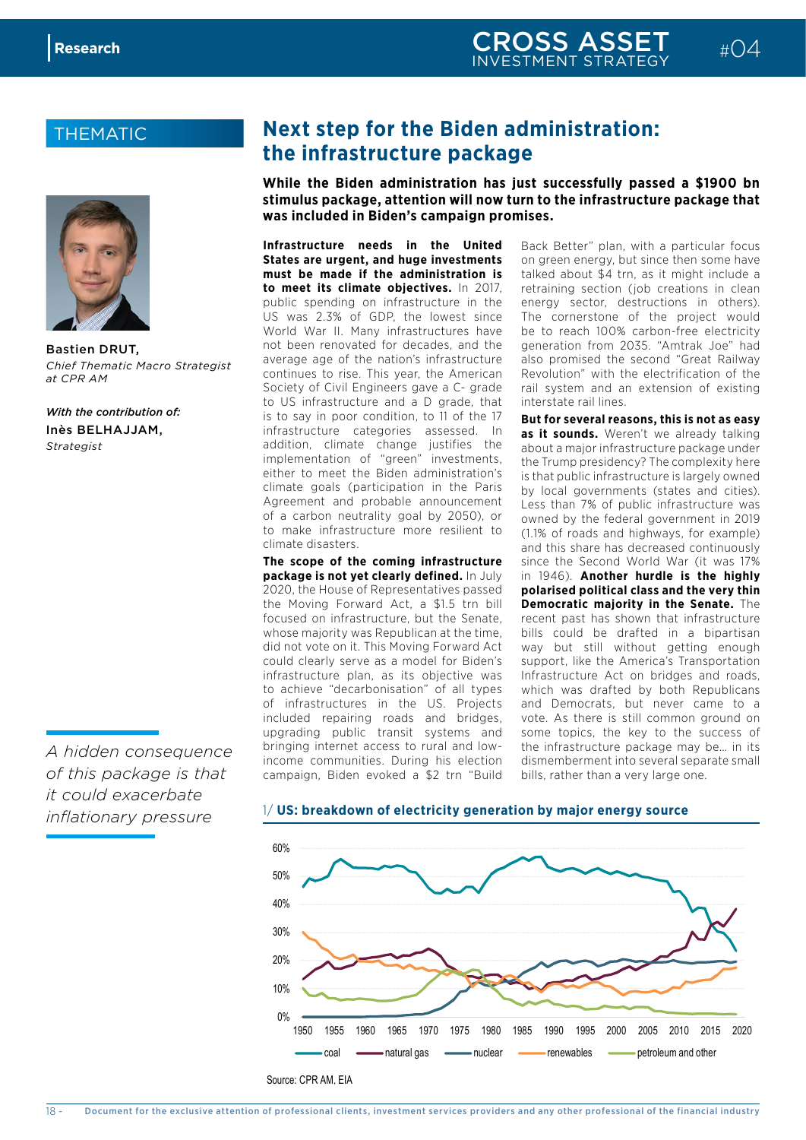### **THEMATIC**



Bastien DRUT, *Chief Thematic Macro Strategist at CPR AM*

*With the contribution of:* Inès BELHAJJAM, *Strategist*

*A hidden consequence of this package is that it could exacerbate inflationary pressure*

## **Next step for the Biden administration: the infrastructure package**

**While the Biden administration has just successfully passed a \$1900 bn stimulus package, attention will now turn to the infrastructure package that was included in Biden's campaign promises.**

**Infrastructure needs in the United States are urgent, and huge investments must be made if the administration is to meet its climate objectives.** In 2017, public spending on infrastructure in the US was 2.3% of GDP, the lowest since World War II. Many infrastructures have not been renovated for decades, and the average age of the nation's infrastructure continues to rise. This year, the American Society of Civil Engineers gave a C- grade to US infrastructure and a D grade, that is to say in poor condition, to 11 of the 17 infrastructure categories assessed. In addition, climate change justifies the implementation of "green" investments, either to meet the Biden administration's climate goals (participation in the Paris Agreement and probable announcement of a carbon neutrality goal by 2050), or to make infrastructure more resilient to climate disasters.

**The scope of the coming infrastructure package is not yet clearly defined.** In July 2020, the House of Representatives passed the Moving Forward Act, a \$1.5 trn bill focused on infrastructure, but the Senate, whose majority was Republican at the time, did not vote on it. This Moving Forward Act could clearly serve as a model for Biden's infrastructure plan, as its objective was to achieve "decarbonisation" of all types of infrastructures in the US. Projects included repairing roads and bridges, upgrading public transit systems and bringing internet access to rural and lowincome communities. During his election campaign, Biden evoked a \$2 trn "Build **US: breakdown of electricity generation by major energy source**

Back Better" plan, with a particular focus on green energy, but since then some have talked about \$4 trn, as it might include a retraining section (job creations in clean energy sector, destructions in others). The cornerstone of the project would be to reach 100% carbon-free electricity generation from 2035. "Amtrak Joe" had also promised the second "Great Railway Revolution" with the electrification of the rail system and an extension of existing interstate rail lines.

**But for several reasons, this is not as easy**  as it sounds. Weren't we already talking about a major infrastructure package under the Trump presidency? The complexity here is that public infrastructure is largely owned by local governments (states and cities). Less than 7% of public infrastructure was owned by the federal government in 2019 (1.1% of roads and highways, for example) and this share has decreased continuously since the Second World War (it was 17% in 1946). **Another hurdle is the highly polarised political class and the very thin Democratic majority in the Senate.** The recent past has shown that infrastructure bills could be drafted in a bipartisan way but still without getting enough support, like the America's Transportation Infrastructure Act on bridges and roads, which was drafted by both Republicans and Democrats, but never came to a vote. As there is still common ground on some topics, the key to the success of the infrastructure package may be… in its dismemberment into several separate small bills, rather than a very large one.

#### 1/ **US: breakdown of electricity generation by major energy source**

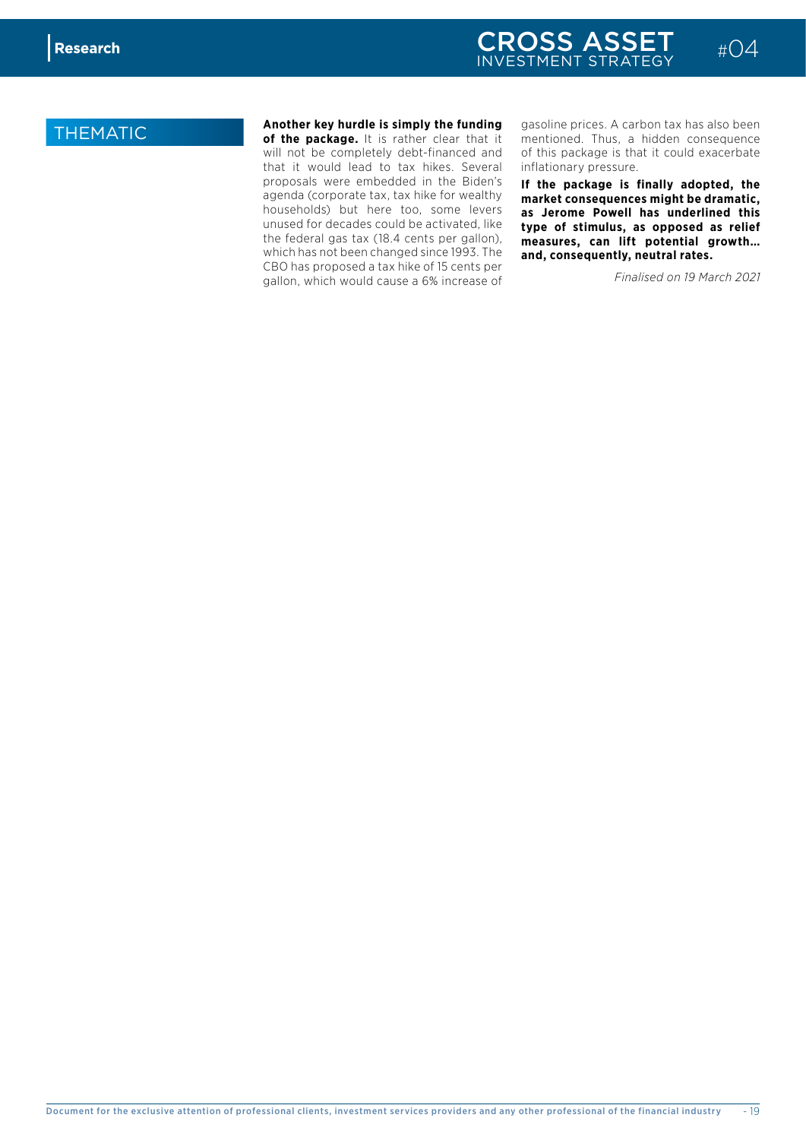### **THEMATIC Another key hurdle is simply the funding**<br> **Another key hurdle is simply the funding intervallent in the set of the nackage** of the state of that it

of the package. It is rather clear that it will not be completely debt-financed and that it would lead to tax hikes. Several proposals were embedded in the Biden's agenda (corporate tax, tax hike for wealthy households) but here too, some levers unused for decades could be activated, like the federal gas tax (18.4 cents per gallon), which has not been changed since 1993. The CBO has proposed a tax hike of 15 cents per gallon, which would cause a 6% increase of

gasoline prices. A carbon tax has also been mentioned. Thus, a hidden consequence of this package is that it could exacerbate inflationary pressure.

**If the package is finally adopted, the market consequences might be dramatic, as Jerome Powell has underlined this type of stimulus, as opposed as relief measures, can lift potential growth… and, consequently, neutral rates.** 

*Finalised on 19 March 2021*